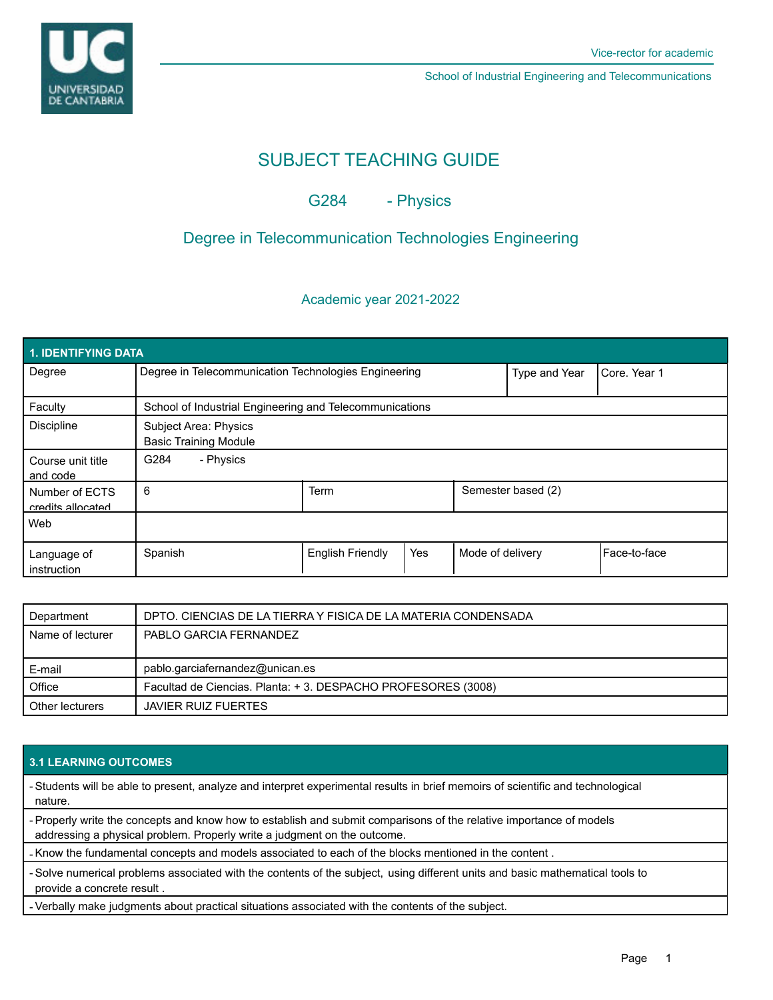

School of Industrial Engineering and Telecommunications

# SUBJECT TEACHING GUIDE

G284 - Physics

# Degree in Telecommunication Technologies Engineering

Academic year 2021-2022

| 1. IDENTIFYING DATA                 |                                                         |                         |     |                    |              |              |  |  |  |
|-------------------------------------|---------------------------------------------------------|-------------------------|-----|--------------------|--------------|--------------|--|--|--|
| Degree                              | Degree in Telecommunication Technologies Engineering    |                         |     | Type and Year      | Core, Year 1 |              |  |  |  |
| Faculty                             | School of Industrial Engineering and Telecommunications |                         |     |                    |              |              |  |  |  |
| <b>Discipline</b>                   | Subject Area: Physics<br><b>Basic Training Module</b>   |                         |     |                    |              |              |  |  |  |
| Course unit title<br>and code       | - Physics<br>G284                                       |                         |     |                    |              |              |  |  |  |
| Number of ECTS<br>credits allocated | 6                                                       | <b>Term</b>             |     | Semester based (2) |              |              |  |  |  |
| Web                                 |                                                         |                         |     |                    |              |              |  |  |  |
| Language of<br>instruction          | Spanish                                                 | <b>English Friendly</b> | Yes | Mode of delivery   |              | Face-to-face |  |  |  |

| Department       | DPTO. CIENCIAS DE LA TIERRA Y FISICA DE LA MATERIA CONDENSADA |  |
|------------------|---------------------------------------------------------------|--|
| Name of lecturer | PABLO GARCIA FERNANDEZ                                        |  |
|                  |                                                               |  |
| E-mail           | pablo.garciafernandez@unican.es                               |  |
| Office           | Facultad de Ciencias. Planta: +3. DESPACHO PROFESORES (3008)  |  |
| Other lecturers  | <b>JAVIER RUIZ FUERTES</b>                                    |  |

## **3.1 LEARNING OUTCOMES**

- Students will be able to present, analyze and interpret experimental results in brief memoirs of scientific and technological nature.

- Properly write the concepts and know how to establish and submit comparisons of the relative importance of models addressing a physical problem. Properly write a judgment on the outcome.

- Know the fundamental concepts and models associated to each of the blocks mentioned in the content .

- Solve numerical problems associated with the contents of the subject, using different units and basic mathematical tools to provide a concrete result .

- Verbally make judgments about practical situations associated with the contents of the subject.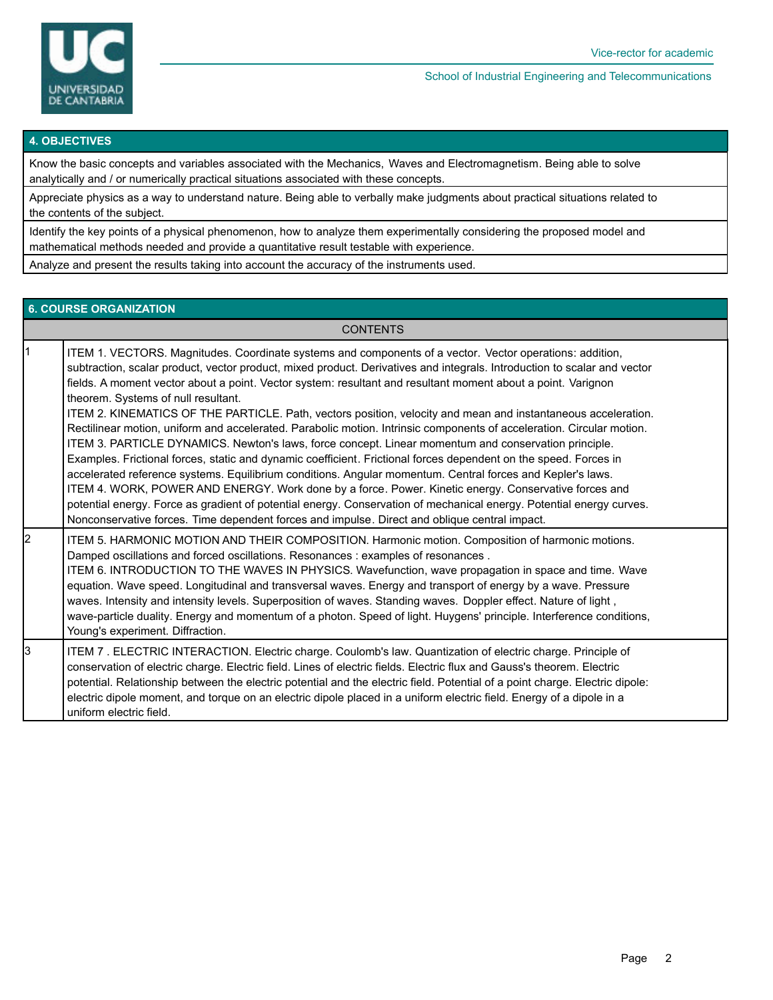

#### School of Industrial Engineering and Telecommunications

#### **4. OBJECTIVES**

Know the basic concepts and variables associated with the Mechanics, Waves and Electromagnetism. Being able to solve analytically and / or numerically practical situations associated with these concepts.

Appreciate physics as a way to understand nature. Being able to verbally make judgments about practical situations related to the contents of the subject.

Identify the key points of a physical phenomenon, how to analyze them experimentally considering the proposed model and mathematical methods needed and provide a quantitative result testable with experience.

Analyze and present the results taking into account the accuracy of the instruments used.

## **6. COURSE ORGANIZATION**

**CONTENTS** 

|    | ITEM 1. VECTORS. Magnitudes. Coordinate systems and components of a vector. Vector operations: addition,<br>subtraction, scalar product, vector product, mixed product. Derivatives and integrals. Introduction to scalar and vector<br>fields. A moment vector about a point. Vector system: resultant and resultant moment about a point. Varignon<br>theorem. Systems of null resultant.<br>ITEM 2. KINEMATICS OF THE PARTICLE. Path, vectors position, velocity and mean and instantaneous acceleration.<br>Rectilinear motion, uniform and accelerated. Parabolic motion. Intrinsic components of acceleration. Circular motion.<br>ITEM 3. PARTICLE DYNAMICS. Newton's laws, force concept. Linear momentum and conservation principle.<br>Examples. Frictional forces, static and dynamic coefficient. Frictional forces dependent on the speed. Forces in<br>accelerated reference systems. Equilibrium conditions. Angular momentum. Central forces and Kepler's laws.<br>ITEM 4. WORK, POWER AND ENERGY. Work done by a force. Power. Kinetic energy. Conservative forces and<br>potential energy. Force as gradient of potential energy. Conservation of mechanical energy. Potential energy curves.<br>Nonconservative forces. Time dependent forces and impulse. Direct and oblique central impact. |
|----|------------------------------------------------------------------------------------------------------------------------------------------------------------------------------------------------------------------------------------------------------------------------------------------------------------------------------------------------------------------------------------------------------------------------------------------------------------------------------------------------------------------------------------------------------------------------------------------------------------------------------------------------------------------------------------------------------------------------------------------------------------------------------------------------------------------------------------------------------------------------------------------------------------------------------------------------------------------------------------------------------------------------------------------------------------------------------------------------------------------------------------------------------------------------------------------------------------------------------------------------------------------------------------------------------------------|
| l2 | ITEM 5. HARMONIC MOTION AND THEIR COMPOSITION. Harmonic motion. Composition of harmonic motions.<br>Damped oscillations and forced oscillations. Resonances : examples of resonances.<br>ITEM 6. INTRODUCTION TO THE WAVES IN PHYSICS. Wavefunction, wave propagation in space and time. Wave<br>equation. Wave speed. Longitudinal and transversal waves. Energy and transport of energy by a wave. Pressure<br>waves. Intensity and intensity levels. Superposition of waves. Standing waves. Doppler effect. Nature of light,<br>wave-particle duality. Energy and momentum of a photon. Speed of light. Huygens' principle. Interference conditions,<br>Young's experiment. Diffraction.                                                                                                                                                                                                                                                                                                                                                                                                                                                                                                                                                                                                                     |
| IЗ | ITEM 7. ELECTRIC INTERACTION. Electric charge. Coulomb's law. Quantization of electric charge. Principle of<br>conservation of electric charge. Electric field. Lines of electric fields. Electric flux and Gauss's theorem. Electric<br>potential. Relationship between the electric potential and the electric field. Potential of a point charge. Electric dipole:<br>electric dipole moment, and torque on an electric dipole placed in a uniform electric field. Energy of a dipole in a<br>uniform electric field.                                                                                                                                                                                                                                                                                                                                                                                                                                                                                                                                                                                                                                                                                                                                                                                         |